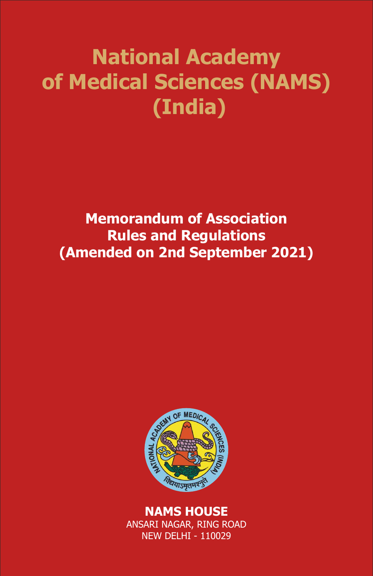# **National Academy of Medical Sciences (NAMS) (India)**

**Memorandum of Association Rules and Regulations (Amended on 2nd September 2021)**



**NAMS HOUSE** ANSARI NAGAR, RING ROAD NEW DELHI - 110029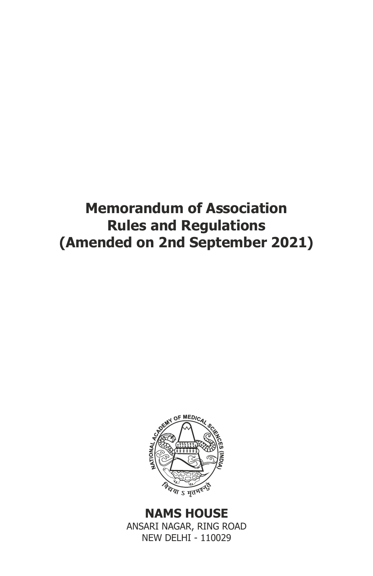# **Memorandum of Association Rules and Regulations (Amended on 2nd September 2021)**



**NAMS HOUSE** ANSARI NAGAR, RING ROAD NEW DELHI - 110029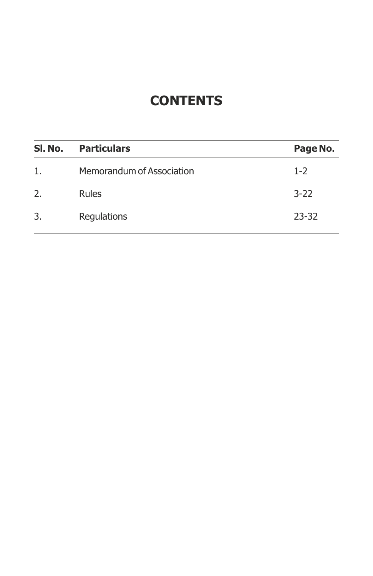### **CONTENTS**

| Sl. No. | <b>Particulars</b>        | Page No.  |
|---------|---------------------------|-----------|
| 1.      | Memorandum of Association | $1 - 2$   |
| 2.      | <b>Rules</b>              | $3 - 22$  |
| 3.      | Regulations               | $23 - 32$ |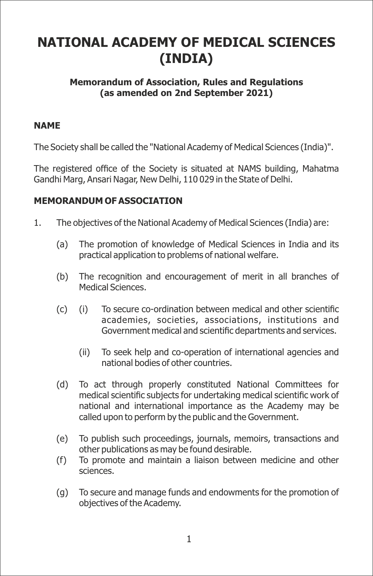## **NATIONAL ACADEMY OF MEDICAL SCIENCES (INDIA)**

#### **Memorandum of Association, Rules and Regulations (as amended on 2nd September 2021)**

#### **NAME**

The Society shall be called the "National Academy of Medical Sciences (India)".

The registered office of the Society is situated at NAMS building, Mahatma Gandhi Marg, Ansari Nagar, New Delhi, 110 029 in the State of Delhi.

#### **MEMORANDUM OF ASSOCIATION**

- 1. The objectives of the National Academy of Medical Sciences (India) are:
	- (a) The promotion of knowledge of Medical Sciences in India and its practical application to problems of national welfare.
	- (b) The recognition and encouragement of merit in all branches of Medical Sciences.
	- $(c)$  (i) To secure co-ordination between medical and other scientific academies, societies, associations, institutions and Government medical and scientific departments and services.
		- (ii) To seek help and co-operation of international agencies and national bodies of other countries.
	- (d) To act through properly constituted National Committees for medical scientific subjects for undertaking medical scientific work of national and international importance as the Academy may be called upon to perform by the public and the Government.
	- (e) To publish such proceedings, journals, memoirs, transactions and other publications as may be found desirable.
	- (f) To promote and maintain a liaison between medicine and other sciences.
	- (g) To secure and manage funds and endowments for the promotion of objectives of the Academy.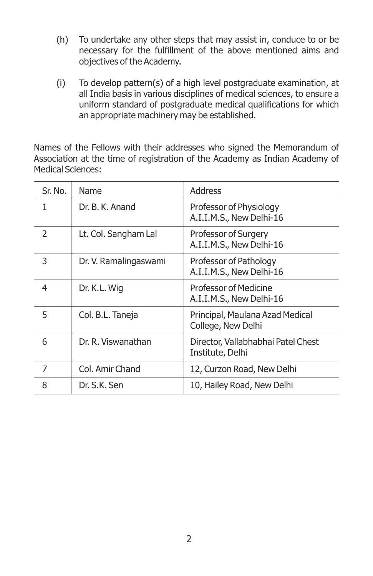- (h) To undertake any other steps that may assist in, conduce to or be necessary for the fulfillment of the above mentioned aims and objectives of the Academy.
- (i) To develop pattern(s) of a high level postgraduate examination, at all India basis in various disciplines of medical sciences, to ensure a uniform standard of postgraduate medical qualifications for which an appropriate machinery may be established.

Names of the Fellows with their addresses who signed the Memorandum of Association at the time of registration of the Academy as Indian Academy of Medical Sciences:

| Sr. No.        | Name                  | Address                                                |
|----------------|-----------------------|--------------------------------------------------------|
| 1              | Dr. B. K. Anand       | Professor of Physiology<br>A.I.I.M.S., New Delhi-16    |
| $\overline{2}$ | Lt. Col. Sangham Lal  | Professor of Surgery<br>A.I.I.M.S., New Delhi-16       |
| 3              | Dr. V. Ramalingaswami | Professor of Pathology<br>A.I.I.M.S., New Delhi-16     |
| 4              | Dr. K.L. Wig          | Professor of Medicine<br>A.I.I.M.S., New Delhi-16      |
| 5              | Col. B.L. Taneja      | Principal, Maulana Azad Medical<br>College, New Delhi  |
| 6              | Dr. R. Viswanathan    | Director, Vallabhabhai Patel Chest<br>Institute, Delhi |
| 7              | Col. Amir Chand       | 12, Curzon Road, New Delhi                             |
| 8              | Dr. S.K. Sen          | 10, Hailey Road, New Delhi                             |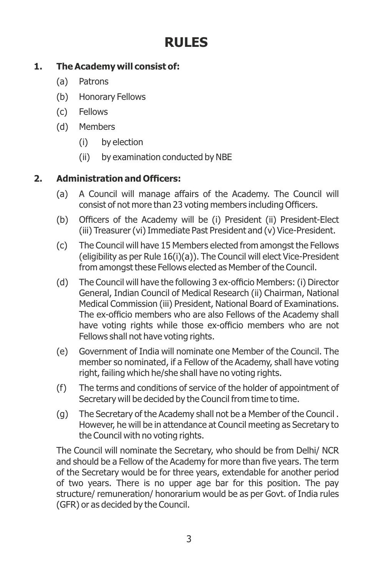## **RULES**

#### **1. The Academy will consist of:**

- (a) Patrons
- (b) Honorary Fellows
- (c) Fellows
- (d) Members
	- (i) by election
	- (ii) by examination conducted by NBE

#### **2. Administration and Officers:**

- (a) A Council will manage affairs of the Academy. The Council will consist of not more than 23 voting members including Officers.
- (b) Officers of the Academy will be (i) President (ii) President-Elect (iii) Treasurer (vi) Immediate Past President and (v) Vice-President.
- (c) The Council will have 15 Members elected from amongst the Fellows (eligibility as per Rule 16(i)(a)). The Council will elect Vice-President from amongst these Fellows elected as Member of the Council.
- (d) The Council will have the following 3 ex-officio Members: (i) Director General, Indian Council of Medical Research (ii) Chairman, National Medical Commission (iii) President, National Board of Examinations. The ex-officio members who are also Fellows of the Academy shall have voting rights while those ex-officio members who are not Fellows shall not have voting rights.
- (e) Government of India will nominate one Member of the Council. The member so nominated, if a Fellow of the Academy, shall have voting right, failing which he/she shall have no voting rights.
- (f) The terms and conditions of service of the holder of appointment of Secretary will be decided by the Council from time to time.
- (g) The Secretary of the Academy shall not be a Member of the Council . However, he will be in attendance at Council meeting as Secretary to the Council with no voting rights.

The Council will nominate the Secretary, who should be from Delhi/ NCR and should be a Fellow of the Academy for more than five years. The term of the Secretary would be for three years, extendable for another period of two years. There is no upper age bar for this position. The pay structure/ remuneration/ honorarium would be as per Govt. of India rules (GFR) or as decided by the Council.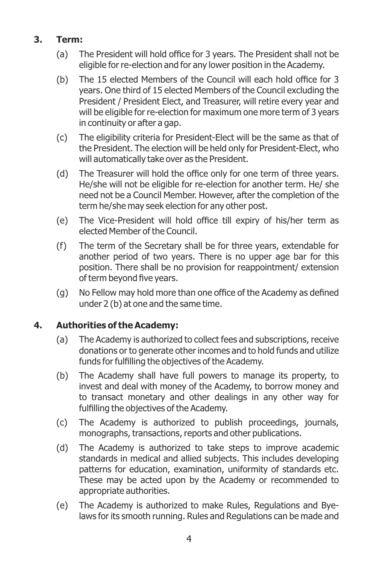#### **3. Term:**

- (a) The President will hold office for 3 years. The President shall not be eligible for re-election and for any lower position in the Academy.
- (b) The 15 elected Members of the Council will each hold office for 3 years. One third of 15 elected Members of the Council excluding the President / President Elect, and Treasurer, will retire every year and will be eligible for re-election for maximum one more term of 3 years in continuity or after a gap.
- (c) The eligibility criteria for President-Elect will be the same as that of the President. The election will be held only for President-Elect, who will automatically take over as the President.
- (d) The Treasurer will hold the office only for one term of three years. He/she will not be eligible for re-election for another term. He/ she need not be a Council Member. However, after the completion of the term he/she may seek election for any other post.
- (e) The Vice-President will hold office till expiry of his/her term as elected Member of the Council.
- (f) The term of the Secretary shall be for three years, extendable for another period of two years. There is no upper age bar for this position. There shall be no provision for reappointment/ extension of term beyond five years.
- $(q)$  No Fellow may hold more than one office of the Academy as defined under 2 (b) at one and the same time.

#### **4. Authorities of the Academy:**

- (a) The Academy is authorized to collect fees and subscriptions, receive donations or to generate other incomes and to hold funds and utilize funds for fulfilling the objectives of the Academy.
- (b) The Academy shall have full powers to manage its property, to invest and deal with money of the Academy, to borrow money and to transact monetary and other dealings in any other way for fulfilling the objectives of the Academy.
- (c) The Academy is authorized to publish proceedings, journals, monographs, transactions, reports and other publications.
- (d) The Academy is authorized to take steps to improve academic standards in medical and allied subjects. This includes developing patterns for education, examination, uniformity of standards etc. These may be acted upon by the Academy or recommended to appropriate authorities.
- (e) The Academy is authorized to make Rules, Regulations and Byelaws for its smooth running. Rules and Regulations can be made and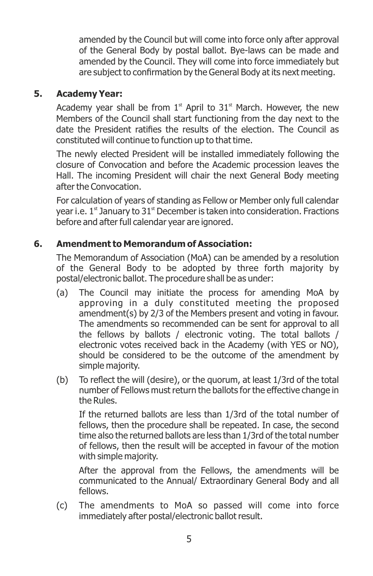amended by the Council but will come into force only after approval of the General Body by postal ballot. Bye-laws can be made and amended by the Council. They will come into force immediately but are subject to confirmation by the General Body at its next meeting.

#### **5. Academy Year:**

Academy year shall be from  $1<sup>st</sup>$  April to  $31<sup>st</sup>$  March. However, the new Members of the Council shall start functioning from the day next to the date the President ratifies the results of the election. The Council as constituted will continue to function up to that time.

The newly elected President will be installed immediately following the closure of Convocation and before the Academic procession leaves the Hall. The incoming President will chair the next General Body meeting after the Convocation.

For calculation of years of standing as Fellow or Member only full calendar year i.e.  $1<sup>st</sup>$  January to  $31<sup>st</sup>$  December is taken into consideration. Fractions before and after full calendar year are ignored.

#### **6. Amendment to Memorandum of Association:**

The Memorandum of Association (MoA) can be amended by a resolution of the General Body to be adopted by three forth majority by postal/electronic ballot. The procedure shall be as under:

- (a) The Council may initiate the process for amending MoA by approving in a duly constituted meeting the proposed amendment(s) by 2/3 of the Members present and voting in favour. The amendments so recommended can be sent for approval to all the fellows by ballots / electronic voting. The total ballots / electronic votes received back in the Academy (with YES or NO), should be considered to be the outcome of the amendment by simple majority.
- (b) To reflect the will (desire), or the quorum, at least  $1/3$ rd of the total number of Fellows must return the ballots for the effective change in the Rules.

If the returned ballots are less than 1/3rd of the total number of fellows, then the procedure shall be repeated. In case, the second time also the returned ballots are less than 1/3rd of the total number of fellows, then the result will be accepted in favour of the motion with simple majority.

After the approval from the Fellows, the amendments will be communicated to the Annual/ Extraordinary General Body and all fellows.

(c) The amendments to MoA so passed will come into force immediately after postal/electronic ballot result.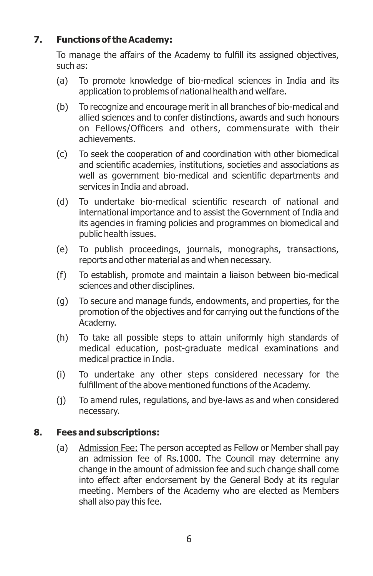#### **7. Functions of the Academy:**

To manage the affairs of the Academy to fulfill its assigned objectives, such as:

- (a) To promote knowledge of bio-medical sciences in India and its application to problems of national health and welfare.
- (b) To recognize and encourage merit in all branches of bio-medical and allied sciences and to confer distinctions, awards and such honours on Fellows/Officers and others, commensurate with their achievements.
- (c) To seek the cooperation of and coordination with other biomedical and scientific academies, institutions, societies and associations as well as government bio-medical and scientific departments and services in India and abroad.
- (d) To undertake bio-medical scientific research of national and international importance and to assist the Government of India and its agencies in framing policies and programmes on biomedical and public health issues.
- (e) To publish proceedings, journals, monographs, transactions, reports and other material as and when necessary.
- (f) To establish, promote and maintain a liaison between bio-medical sciences and other disciplines.
- (g) To secure and manage funds, endowments, and properties, for the promotion of the objectives and for carrying out the functions of the Academy.
- (h) To take all possible steps to attain uniformly high standards of medical education, post-graduate medical examinations and medical practice in India.
- (i) To undertake any other steps considered necessary for the fulfillment of the above mentioned functions of the Academy.
- (j) To amend rules, regulations, and bye-laws as and when considered necessary.

#### **8. Fees and subscriptions:**

(a) Admission Fee: The person accepted as Fellow or Member shall pay an admission fee of Rs.1000. The Council may determine any change in the amount of admission fee and such change shall come into effect after endorsement by the General Body at its regular meeting. Members of the Academy who are elected as Members shall also pay this fee.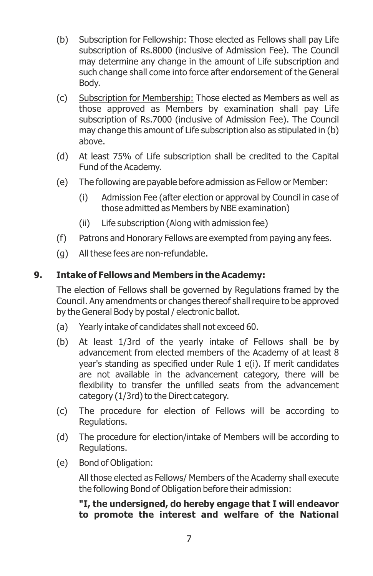- (b) Subscription for Fellowship: Those elected as Fellows shall pay Life subscription of Rs.8000 (inclusive of Admission Fee). The Council may determine any change in the amount of Life subscription and such change shall come into force after endorsement of the General Body.
- (c) Subscription for Membership: Those elected as Members as well as those approved as Members by examination shall pay Life subscription of Rs.7000 (inclusive of Admission Fee). The Council may change this amount of Life subscription also as stipulated in (b) above.
- (d) At least 75% of Life subscription shall be credited to the Capital Fund of the Academy.
- (e) The following are payable before admission as Fellow or Member:
	- (i) Admission Fee (after election or approval by Council in case of those admitted as Members by NBE examination)
	- (ii) Life subscription (Along with admission fee)
- (f) Patrons and Honorary Fellows are exempted from paying any fees.
- (g) All these fees are non-refundable.

#### **9. Intake of Fellows and Members in the Academy:**

The election of Fellows shall be governed by Regulations framed by the Council. Any amendments or changes thereof shall require to be approved by the General Body by postal / electronic ballot.

- (a) Yearly intake of candidates shall not exceed 60.
- (b) At least 1/3rd of the yearly intake of Fellows shall be by advancement from elected members of the Academy of at least 8 year's standing as specified under Rule  $1$  e(i). If merit candidates are not available in the advancement category, there will be flexibility to transfer the unfilled seats from the advancement category (1/3rd) to the Direct category.
- (c) The procedure for election of Fellows will be according to Regulations.
- (d) The procedure for election/intake of Members will be according to Regulations.
- (e) Bond of Obligation:

All those elected as Fellows/ Members of the Academy shall execute the following Bond of Obligation before their admission:

**"I, the undersigned, do hereby engage that I will endeavor to promote the interest and welfare of the National**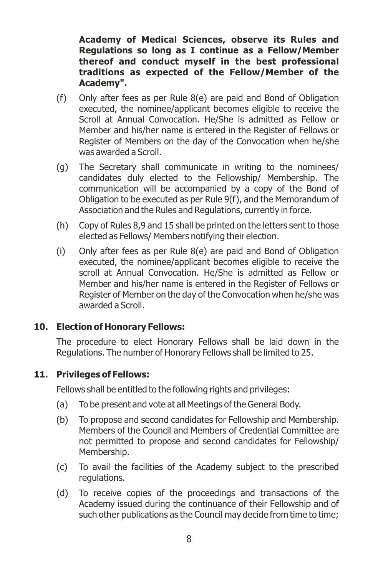**Academy of Medical Sciences, observe its Rules and Regulations so long as I continue as a Fellow/Member thereof and conduct myself in the best professional traditions as expected of the Fellow/Member of the Academy".**

- (f) Only after fees as per Rule 8(e) are paid and Bond of Obligation executed, the nominee/applicant becomes eligible to receive the Scroll at Annual Convocation. He/She is admitted as Fellow or Member and his/her name is entered in the Register of Fellows or Register of Members on the day of the Convocation when he/she was awarded a Scroll.
- (g) The Secretary shall communicate in writing to the nominees/ candidates duly elected to the Fellowship/ Membership. The communication will be accompanied by a copy of the Bond of Obligation to be executed as per Rule 9(f), and the Memorandum of Association and the Rules and Regulations, currently in force.
- (h) Copy of Rules 8,9 and 15 shall be printed on the letters sent to those elected as Fellows/ Members notifying their election.
- (i) Only after fees as per Rule 8(e) are paid and Bond of Obligation executed, the nominee/applicant becomes eligible to receive the scroll at Annual Convocation. He/She is admitted as Fellow or Member and his/her name is entered in the Register of Fellows or Register of Member on the day of the Convocation when he/she was awarded a Scroll.

#### **10. Election of Honorary Fellows:**

The procedure to elect Honorary Fellows shall be laid down in the Regulations. The number of Honorary Fellows shall be limited to 25.

#### **11. Privileges of Fellows:**

Fellows shall be entitled to the following rights and privileges:

- (a) To be present and vote at all Meetings of the General Body.
- (b) To propose and second candidates for Fellowship and Membership. Members of the Council and Members of Credential Committee are not permitted to propose and second candidates for Fellowship/ Membership.
- (c) To avail the facilities of the Academy subject to the prescribed regulations.
- (d) To receive copies of the proceedings and transactions of the Academy issued during the continuance of their Fellowship and of such other publications as the Council may decide from time to time;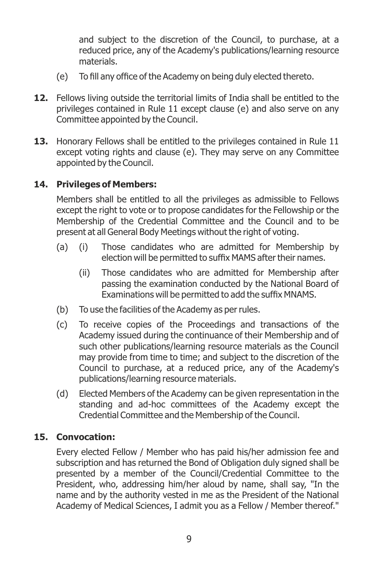and subject to the discretion of the Council, to purchase, at a reduced price, any of the Academy's publications/learning resource materials.

- (e) To fill any office of the Academy on being duly elected thereto.
- **12.** Fellows living outside the territorial limits of India shall be entitled to the privileges contained in Rule 11 except clause (e) and also serve on any Committee appointed by the Council.
- **13.** Honorary Fellows shall be entitled to the privileges contained in Rule 11 except voting rights and clause (e). They may serve on any Committee appointed by the Council.

#### **14. Privileges of Members:**

Members shall be entitled to all the privileges as admissible to Fellows except the right to vote or to propose candidates for the Fellowship or the Membership of the Credential Committee and the Council and to be present at all General Body Meetings without the right of voting.

- (a) (i) Those candidates who are admitted for Membership by election will be permitted to suffix MAMS after their names.
	- (ii) Those candidates who are admitted for Membership after passing the examination conducted by the National Board of Examinations will be permitted to add the suffix MNAMS.
- (b) To use the facilities of the Academy as per rules.
- (c) To receive copies of the Proceedings and transactions of the Academy issued during the continuance of their Membership and of such other publications/learning resource materials as the Council may provide from time to time; and subject to the discretion of the Council to purchase, at a reduced price, any of the Academy's publications/learning resource materials.
- (d) Elected Members of the Academy can be given representation in the standing and ad-hoc committees of the Academy except the Credential Committee and the Membership of the Council.

#### **15. Convocation:**

Every elected Fellow / Member who has paid his/her admission fee and subscription and has returned the Bond of Obligation duly signed shall be presented by a member of the Council/Credential Committee to the President, who, addressing him/her aloud by name, shall say, "In the name and by the authority vested in me as the President of the National Academy of Medical Sciences, I admit you as a Fellow / Member thereof."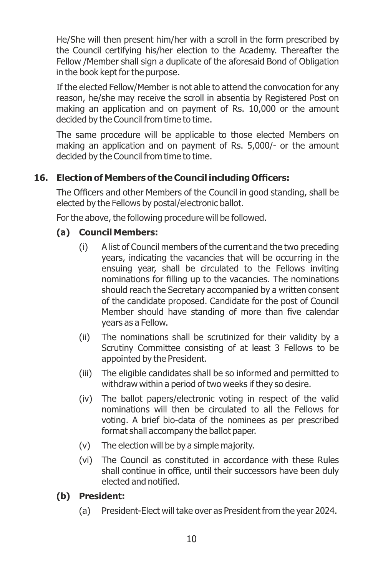He/She will then present him/her with a scroll in the form prescribed by the Council certifying his/her election to the Academy. Thereafter the Fellow /Member shall sign a duplicate of the aforesaid Bond of Obligation in the book kept for the purpose.

If the elected Fellow/Member is not able to attend the convocation for any reason, he/she may receive the scroll in absentia by Registered Post on making an application and on payment of Rs. 10,000 or the amount decided by the Council from time to time.

The same procedure will be applicable to those elected Members on making an application and on payment of Rs. 5,000/- or the amount decided by the Council from time to time.

#### **16. Election of Members of the Council including Officers:**

The Officers and other Members of the Council in good standing, shall be elected by the Fellows by postal/electronic ballot.

For the above, the following procedure will be followed.

#### **(a) Council Members:**

- (i) A list of Council members of the current and the two preceding years, indicating the vacancies that will be occurring in the ensuing year, shall be circulated to the Fellows inviting nominations for filling up to the vacancies. The nominations should reach the Secretary accompanied by a written consent of the candidate proposed. Candidate for the post of Council Member should have standing of more than five calendar years as a Fellow.
- (ii) The nominations shall be scrutinized for their validity by a Scrutiny Committee consisting of at least 3 Fellows to be appointed by the President.
- (iii) The eligible candidates shall be so informed and permitted to withdraw within a period of two weeks if they so desire.
- (iv) The ballot papers/electronic voting in respect of the valid nominations will then be circulated to all the Fellows for voting. A brief bio-data of the nominees as per prescribed format shall accompany the ballot paper.
- (v) The election will be by a simple majority.
- (vi) The Council as constituted in accordance with these Rules shall continue in office, until their successors have been duly elected and notified.

#### **(b) President:**

(a) President-Elect will take over as President from the year 2024.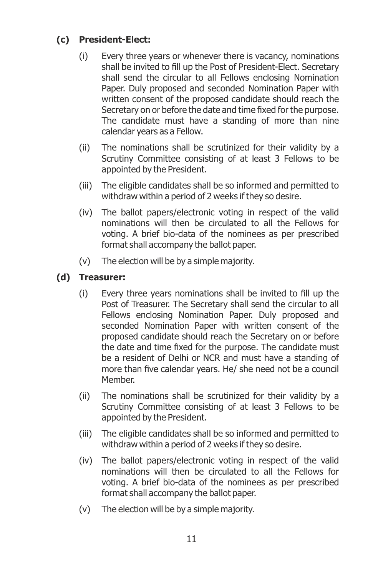#### **(c) President-Elect:**

- (i) Every three years or whenever there is vacancy, nominations shall be invited to fill up the Post of President-Elect. Secretary shall send the circular to all Fellows enclosing Nomination Paper. Duly proposed and seconded Nomination Paper with written consent of the proposed candidate should reach the Secretary on or before the date and time fixed for the purpose. The candidate must have a standing of more than nine calendar years as a Fellow.
- (ii) The nominations shall be scrutinized for their validity by a Scrutiny Committee consisting of at least 3 Fellows to be appointed by the President.
- (iii) The eligible candidates shall be so informed and permitted to withdraw within a period of 2 weeks if they so desire.
- (iv) The ballot papers/electronic voting in respect of the valid nominations will then be circulated to all the Fellows for voting. A brief bio-data of the nominees as per prescribed format shall accompany the ballot paper.
- (v) The election will be by a simple majority.

#### **(d) Treasurer:**

- (i) Every three years nominations shall be invited to fill up the Post of Treasurer. The Secretary shall send the circular to all Fellows enclosing Nomination Paper. Duly proposed and seconded Nomination Paper with written consent of the proposed candidate should reach the Secretary on or before the date and time fixed for the purpose. The candidate must be a resident of Delhi or NCR and must have a standing of more than five calendar years. He/ she need not be a council Member.
- (ii) The nominations shall be scrutinized for their validity by a Scrutiny Committee consisting of at least 3 Fellows to be appointed by the President.
- (iii) The eligible candidates shall be so informed and permitted to withdraw within a period of 2 weeks if they so desire.
- (iv) The ballot papers/electronic voting in respect of the valid nominations will then be circulated to all the Fellows for voting. A brief bio-data of the nominees as per prescribed format shall accompany the ballot paper.
- (v) The election will be by a simple majority.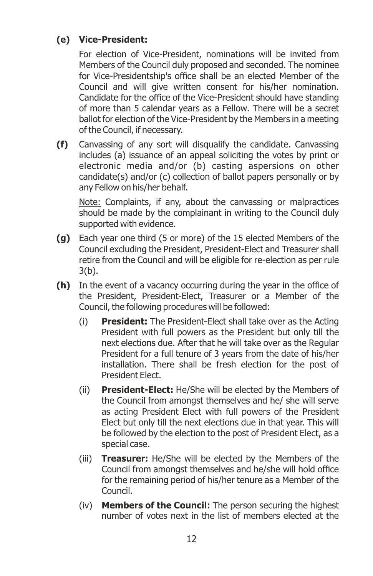#### **(e) Vice-President:**

For election of Vice-President, nominations will be invited from Members of the Council duly proposed and seconded. The nominee for Vice-Presidentship's office shall be an elected Member of the Council and will give written consent for his/her nomination. Candidate for the office of the Vice-President should have standing of more than 5 calendar years as a Fellow. There will be a secret ballot for election of the Vice-President by the Members in a meeting of the Council, if necessary.

**(f)** Canvassing of any sort will disqualify the candidate. Canvassing includes (a) issuance of an appeal soliciting the votes by print or electronic media and/or (b) casting aspersions on other candidate(s) and/or (c) collection of ballot papers personally or by any Fellow on his/her behalf.

Note: Complaints, if any, about the canvassing or malpractices should be made by the complainant in writing to the Council duly supported with evidence.

- **(g)** Each year one third (5 or more) of the 15 elected Members of the Council excluding the President, President-Elect and Treasurer shall retire from the Council and will be eligible for re-election as per rule 3(b).
- **(h)** In the event of a vacancy occurring during the year in the office of the President, President-Elect, Treasurer or a Member of the Council, the following procedures will be followed:
	- (i) **President:** The President-Elect shall take over as the Acting President with full powers as the President but only till the next elections due. After that he will take over as the Regular President for a full tenure of 3 years from the date of his/her installation. There shall be fresh election for the post of President Elect.
	- (ii) **President-Elect:** He/She will be elected by the Members of the Council from amongst themselves and he/ she will serve as acting President Elect with full powers of the President Elect but only till the next elections due in that year. This will be followed by the election to the post of President Elect, as a special case.
	- (iii) **Treasurer:** He/She will be elected by the Members of the Council from amongst themselves and he/she will hold office for the remaining period of his/her tenure as a Member of the Council.
	- (iv) **Members of the Council:** The person securing the highest number of votes next in the list of members elected at the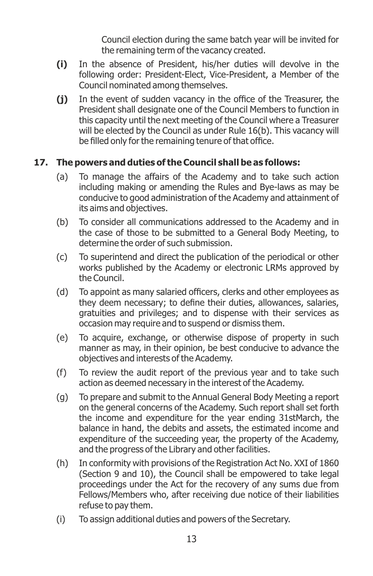Council election during the same batch year will be invited for the remaining term of the vacancy created.

- **(i)** In the absence of President, his/her duties will devolve in the following order: President-Elect, Vice-President, a Member of the Council nominated among themselves.
- (i) In the event of sudden vacancy in the office of the Treasurer, the President shall designate one of the Council Members to function in this capacity until the next meeting of the Council where a Treasurer will be elected by the Council as under Rule 16(b). This vacancy will be filled only for the remaining tenure of that office.

#### **17. The powers and duties of the Council shall be as follows:**

- (a) To manage the affairs of the Academy and to take such action including making or amending the Rules and Bye-laws as may be conducive to good administration of the Academy and attainment of its aims and objectives.
- (b) To consider all communications addressed to the Academy and in the case of those to be submitted to a General Body Meeting, to determine the order of such submission.
- (c) To superintend and direct the publication of the periodical or other works published by the Academy or electronic LRMs approved by the Council.
- (d) To appoint as many salaried officers, clerks and other employees as they deem necessary; to define their duties, allowances, salaries, gratuities and privileges; and to dispense with their services as occasion may require and to suspend or dismiss them.
- (e) To acquire, exchange, or otherwise dispose of property in such manner as may, in their opinion, be best conducive to advance the objectives and interests of the Academy.
- (f) To review the audit report of the previous year and to take such action as deemed necessary in the interest of the Academy.
- (g) To prepare and submit to the Annual General Body Meeting a report on the general concerns of the Academy. Such report shall set forth the income and expenditure for the year ending 31stMarch, the balance in hand, the debits and assets, the estimated income and expenditure of the succeeding year, the property of the Academy, and the progress of the Library and other facilities.
- (h) In conformity with provisions of the Registration Act No. XXI of 1860 (Section 9 and 10), the Council shall be empowered to take legal proceedings under the Act for the recovery of any sums due from Fellows/Members who, after receiving due notice of their liabilities refuse to pay them.
- (i) To assign additional duties and powers of the Secretary.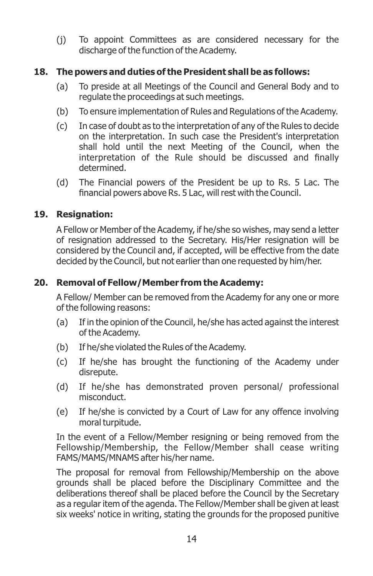(j) To appoint Committees as are considered necessary for the discharge of the function of the Academy.

#### **18. The powers and duties of the President shall be as follows:**

- (a) To preside at all Meetings of the Council and General Body and to regulate the proceedings at such meetings.
- (b) To ensure implementation of Rules and Regulations of the Academy.
- (c) In case of doubt as to the interpretation of any of the Rules to decide on the interpretation. In such case the President's interpretation shall hold until the next Meeting of the Council, when the interpretation of the Rule should be discussed and finally determined.
- (d) The Financial powers of the President be up to Rs. 5 Lac. The financial powers above Rs. 5 Lac, will rest with the Council.

#### **19. Resignation:**

A Fellow or Member of the Academy, if he/she so wishes, may send a letter of resignation addressed to the Secretary. His/Her resignation will be considered by the Council and, if accepted, will be effective from the date decided by the Council, but not earlier than one requested by him/her.

#### **20. Removal of Fellow/Member from the Academy:**

A Fellow/ Member can be removed from the Academy for any one or more of the following reasons:

- (a) If in the opinion of the Council, he/she has acted against the interest of the Academy.
- (b) If he/she violated the Rules of the Academy.
- (c) If he/she has brought the functioning of the Academy under disrepute.
- (d) If he/she has demonstrated proven personal/ professional misconduct.
- (e) If he/she is convicted by a Court of Law for any offence involving moral turpitude.

In the event of a Fellow/Member resigning or being removed from the Fellowship/Membership, the Fellow/Member shall cease writing FAMS/MAMS/MNAMS after his/her name.

The proposal for removal from Fellowship/Membership on the above grounds shall be placed before the Disciplinary Committee and the deliberations thereof shall be placed before the Council by the Secretary as a regular item of the agenda. The Fellow/Member shall be given at least six weeks' notice in writing, stating the grounds for the proposed punitive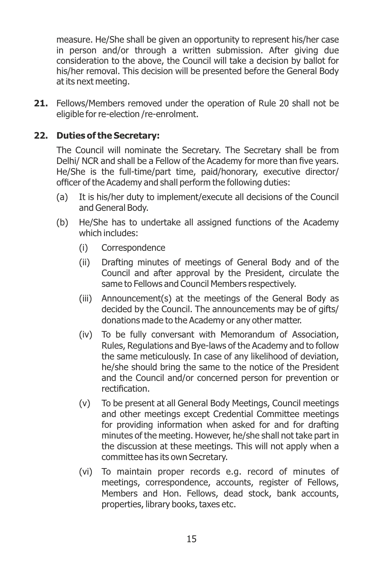measure. He/She shall be given an opportunity to represent his/her case in person and/or through a written submission. After giving due consideration to the above, the Council will take a decision by ballot for his/her removal. This decision will be presented before the General Body at its next meeting.

**21.** Fellows/Members removed under the operation of Rule 20 shall not be eligible for re-election /re-enrolment.

#### **22. Duties of the Secretary:**

The Council will nominate the Secretary. The Secretary shall be from Delhi/ NCR and shall be a Fellow of the Academy for more than five years. He/She is the full-time/part time, paid/honorary, executive director/ officer of the Academy and shall perform the following duties:

- (a) It is his/her duty to implement/execute all decisions of the Council and General Body.
- (b) He/She has to undertake all assigned functions of the Academy which includes:
	- (i) Correspondence
	- (ii) Drafting minutes of meetings of General Body and of the Council and after approval by the President, circulate the same to Fellows and Council Members respectively.
	- (iii) Announcement(s) at the meetings of the General Body as decided by the Council. The announcements may be of gifts/ donations made to the Academy or any other matter.
	- (iv) To be fully conversant with Memorandum of Association, Rules, Regulations and Bye-laws of the Academy and to follow the same meticulously. In case of any likelihood of deviation, he/she should bring the same to the notice of the President and the Council and/or concerned person for prevention or rectification.
	- (v) To be present at all General Body Meetings, Council meetings and other meetings except Credential Committee meetings for providing information when asked for and for drafting minutes of the meeting. However, he/she shall not take part in the discussion at these meetings. This will not apply when a committee has its own Secretary.
	- (vi) To maintain proper records e.g. record of minutes of meetings, correspondence, accounts, register of Fellows, Members and Hon. Fellows, dead stock, bank accounts, properties, library books, taxes etc.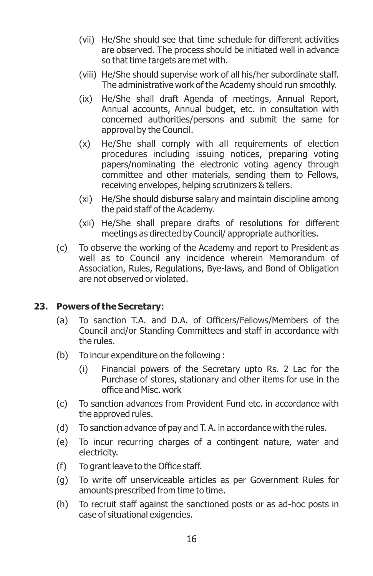- (vii) He/She should see that time schedule for different activities are observed. The process should be initiated well in advance so that time targets are met with.
- (viii) He/She should supervise work of all his/her subordinate staff. The administrative work of the Academy should run smoothly.
- (ix) He/She shall draft Agenda of meetings, Annual Report, Annual accounts, Annual budget, etc. in consultation with concerned authorities/persons and submit the same for approval by the Council.
- (x) He/She shall comply with all requirements of election procedures including issuing notices, preparing voting papers/nominating the electronic voting agency through committee and other materials, sending them to Fellows, receiving envelopes, helping scrutinizers & tellers.
- (xi) He/She should disburse salary and maintain discipline among the paid staff of the Academy.
- (xii) He/She shall prepare drafts of resolutions for different meetings as directed by Council/ appropriate authorities.
- (c) To observe the working of the Academy and report to President as well as to Council any incidence wherein Memorandum of Association, Rules, Regulations, Bye-laws, and Bond of Obligation are not observed or violated.

#### **23. Powers of the Secretary:**

- (a) To sanction T.A. and D.A. of Officers/Fellows/Members of the Council and/or Standing Committees and staff in accordance with the rules.
- (b) To incur expenditure on the following :
	- (i) Financial powers of the Secretary upto Rs. 2 Lac for the Purchase of stores, stationary and other items for use in the office and Misc. work
- (c) To sanction advances from Provident Fund etc. in accordance with the approved rules.
- (d) To sanction advance of pay and T. A. in accordance with the rules.
- (e) To incur recurring charges of a contingent nature, water and electricity.
- $(f)$  To grant leave to the Office staff.
- (g) To write off unserviceable articles as per Government Rules for amounts prescribed from time to time.
- (h) To recruit staff against the sanctioned posts or as ad-hoc posts in case of situational exigencies.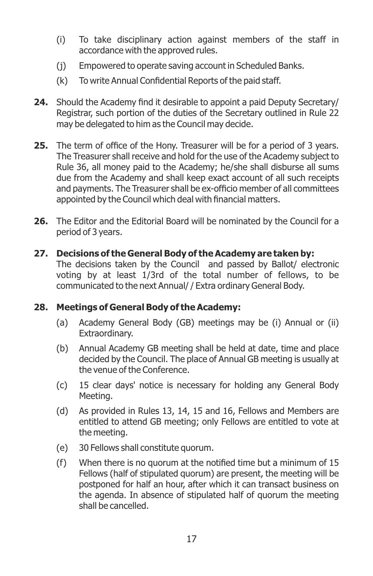- (i) To take disciplinary action against members of the staff in accordance with the approved rules.
- (j) Empowered to operate saving account in Scheduled Banks.
- (k) To write Annual Confidential Reports of the paid staff.
- **24.** Should the Academy find it desirable to appoint a paid Deputy Secretary/ Registrar, such portion of the duties of the Secretary outlined in Rule 22 may be delegated to him as the Council may decide.
- **25.** The term of office of the Hony. Treasurer will be for a period of 3 years. The Treasurer shall receive and hold for the use of the Academy subject to Rule 36, all money paid to the Academy; he/she shall disburse all sums due from the Academy and shall keep exact account of all such receipts and payments. The Treasurer shall be ex-officio member of all committees appointed by the Council which deal with financial matters.
- **26.** The Editor and the Editorial Board will be nominated by the Council for a period of 3 years.
- **27. Decisions of the General Body of the Academy are taken by:** The decisions taken by the Council and passed by Ballot/ electronic voting by at least 1/3rd of the total number of fellows, to be communicated to the next Annual/ / Extra ordinary General Body.

#### **28. Meetings of General Body of the Academy:**

- (a) Academy General Body (GB) meetings may be (i) Annual or (ii) Extraordinary.
- (b) Annual Academy GB meeting shall be held at date, time and place decided by the Council. The place of Annual GB meeting is usually at the venue of the Conference.
- (c) 15 clear days' notice is necessary for holding any General Body Meeting.
- (d) As provided in Rules 13, 14, 15 and 16, Fellows and Members are entitled to attend GB meeting; only Fellows are entitled to vote at the meeting.
- (e) 30 Fellows shall constitute quorum.
- $(f)$  When there is no quorum at the notified time but a minimum of 15 Fellows (half of stipulated quorum) are present, the meeting will be postponed for half an hour, after which it can transact business on the agenda. In absence of stipulated half of quorum the meeting shall be cancelled.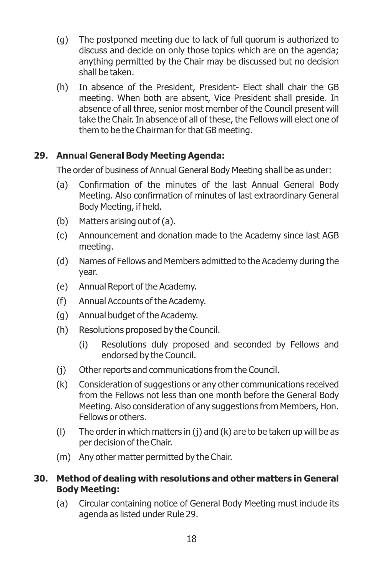- (g) The postponed meeting due to lack of full quorum is authorized to discuss and decide on only those topics which are on the agenda; anything permitted by the Chair may be discussed but no decision shall be taken.
- (h) In absence of the President, President- Elect shall chair the GB meeting. When both are absent, Vice President shall preside. In absence of all three, senior most member of the Council present will take the Chair. In absence of all of these, the Fellows will elect one of them to be the Chairman for that GB meeting.

#### **29. Annual General Body Meeting Agenda:**

The order of business of Annual General Body Meeting shall be as under:

- (a) Confirmation of the minutes of the last Annual General Body Meeting. Also confirmation of minutes of last extraordinary General Body Meeting, if held.
- (b) Matters arising out of (a).
- (c) Announcement and donation made to the Academy since last AGB meeting.
- (d) Names of Fellows and Members admitted to the Academy during the year.
- (e) Annual Report of the Academy.
- (f) Annual Accounts of the Academy.
- (g) Annual budget of the Academy.
- (h) Resolutions proposed by the Council.
	- (i) Resolutions duly proposed and seconded by Fellows and endorsed by the Council.
- (j) Other reports and communications from the Council.
- (k) Consideration of suggestions or any other communications received from the Fellows not less than one month before the General Body Meeting. Also consideration of any suggestions from Members, Hon. Fellows or others.
- (l) The order in which matters in (j) and (k) are to be taken up will be as per decision of the Chair.
- (m) Any other matter permitted by the Chair.

#### **30. Method of dealing with resolutions and other matters in General Body Meeting:**

(a) Circular containing notice of General Body Meeting must include its agenda as listed under Rule 29.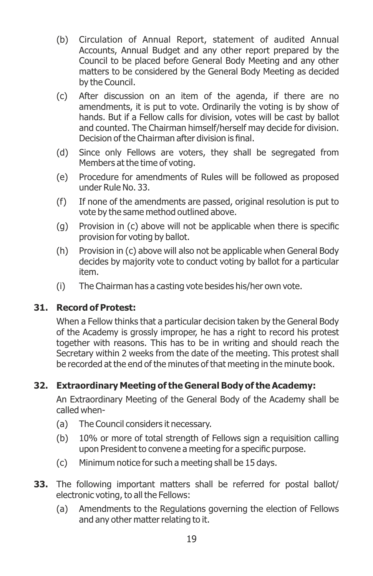- (b) Circulation of Annual Report, statement of audited Annual Accounts, Annual Budget and any other report prepared by the Council to be placed before General Body Meeting and any other matters to be considered by the General Body Meeting as decided by the Council.
- (c) After discussion on an item of the agenda, if there are no amendments, it is put to vote. Ordinarily the voting is by show of hands. But if a Fellow calls for division, votes will be cast by ballot and counted. The Chairman himself/herself may decide for division. Decision of the Chairman after division is final.
- (d) Since only Fellows are voters, they shall be segregated from Members at the time of voting.
- (e) Procedure for amendments of Rules will be followed as proposed under Rule No. 33.
- (f) If none of the amendments are passed, original resolution is put to vote by the same method outlined above.
- (q) Provision in (c) above will not be applicable when there is specific provision for voting by ballot.
- (h) Provision in (c) above will also not be applicable when General Body decides by majority vote to conduct voting by ballot for a particular item.
- (i) The Chairman has a casting vote besides his/her own vote.

#### **31. Record of Protest:**

When a Fellow thinks that a particular decision taken by the General Body of the Academy is grossly improper, he has a right to record his protest together with reasons. This has to be in writing and should reach the Secretary within 2 weeks from the date of the meeting. This protest shall be recorded at the end of the minutes of that meeting in the minute book.

#### **32. Extraordinary Meeting of the General Body of the Academy:**

An Extraordinary Meeting of the General Body of the Academy shall be called when-

- (a) The Council considers it necessary.
- (b) 10% or more of total strength of Fellows sign a requisition calling upon President to convene a meeting for a specific purpose.
- (c) Minimum notice for such a meeting shall be 15 days.
- **33.** The following important matters shall be referred for postal ballot/ electronic voting, to all the Fellows:
	- (a) Amendments to the Regulations governing the election of Fellows and any other matter relating to it.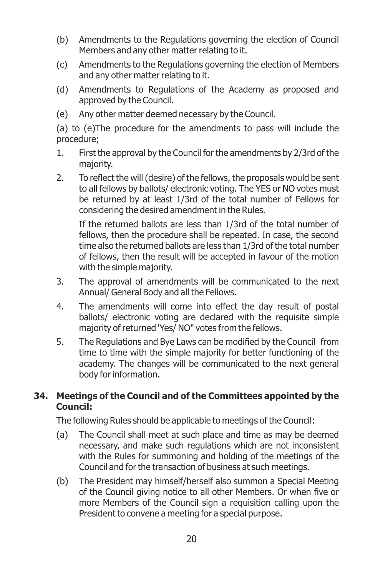- (b) Amendments to the Regulations governing the election of Council Members and any other matter relating to it.
- (c) Amendments to the Regulations governing the election of Members and any other matter relating to it.
- (d) Amendments to Regulations of the Academy as proposed and approved by the Council.
- (e) Any other matter deemed necessary by the Council.

(a) to (e)The procedure for the amendments to pass will include the procedure;

- 1. First the approval by the Council for the amendments by 2/3rd of the majority.
- 2. To reflect the will (desire) of the fellows, the proposals would be sent to all fellows by ballots/ electronic voting. The YES or NO votes must be returned by at least 1/3rd of the total number of Fellows for considering the desired amendment in the Rules.

If the returned ballots are less than 1/3rd of the total number of fellows, then the procedure shall be repeated. In case, the second time also the returned ballots are less than 1/3rd of the total number of fellows, then the result will be accepted in favour of the motion with the simple majority.

- 3. The approval of amendments will be communicated to the next Annual/ General Body and all the Fellows.
- 4. The amendments will come into effect the day result of postal ballots/ electronic voting are declared with the requisite simple majority of returned 'Yes/ NO" votes from the fellows.
- 5. The Regulations and Bye Laws can be modified by the Council from time to time with the simple majority for better functioning of the academy. The changes will be communicated to the next general body for information.

#### **34. Meetings of the Council and of the Committees appointed by the Council:**

The following Rules should be applicable to meetings of the Council:

- (a) The Council shall meet at such place and time as may be deemed necessary, and make such regulations which are not inconsistent with the Rules for summoning and holding of the meetings of the Council and for the transaction of business at such meetings.
- (b) The President may himself/herself also summon a Special Meeting of the Council giving notice to all other Members. Or when five or more Members of the Council sign a requisition calling upon the President to convene a meeting for a special purpose.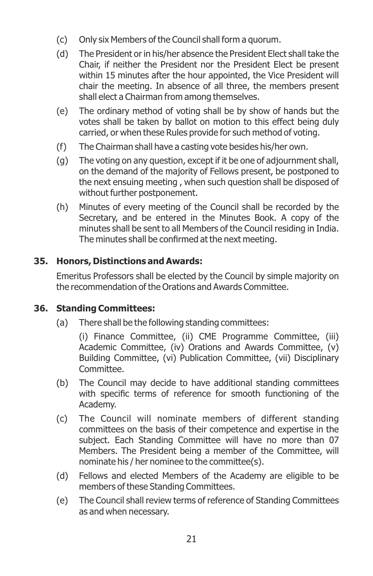- (c) Only six Members of the Council shall form a quorum.
- (d) The President or in his/her absence the President Elect shall take the Chair, if neither the President nor the President Elect be present within 15 minutes after the hour appointed, the Vice President will chair the meeting. In absence of all three, the members present shall elect a Chairman from among themselves.
- (e) The ordinary method of voting shall be by show of hands but the votes shall be taken by ballot on motion to this effect being duly carried, or when these Rules provide for such method of voting.
- (f) The Chairman shall have a casting vote besides his/her own.
- (g) The voting on any question, except if it be one of adjournment shall, on the demand of the majority of Fellows present, be postponed to the next ensuing meeting , when such question shall be disposed of without further postponement.
- (h) Minutes of every meeting of the Council shall be recorded by the Secretary, and be entered in the Minutes Book. A copy of the minutes shall be sent to all Members of the Council residing in India. The minutes shall be confirmed at the next meeting.

#### **35. Honors, Distinctions and Awards:**

Emeritus Professors shall be elected by the Council by simple majority on the recommendation of the Orations and Awards Committee.

#### **36. Standing Committees:**

(a) There shall be the following standing committees:

(i) Finance Committee, (ii) CME Programme Committee, (iii) Academic Committee, (iv) Orations and Awards Committee, (v) Building Committee, (vi) Publication Committee, (vii) Disciplinary Committee.

- (b) The Council may decide to have additional standing committees with specific terms of reference for smooth functioning of the Academy.
- (c) The Council will nominate members of different standing committees on the basis of their competence and expertise in the subject. Each Standing Committee will have no more than 07 Members. The President being a member of the Committee, will nominate his / her nominee to the committee(s).
- (d) Fellows and elected Members of the Academy are eligible to be members of these Standing Committees.
- (e) The Council shall review terms of reference of Standing Committees as and when necessary.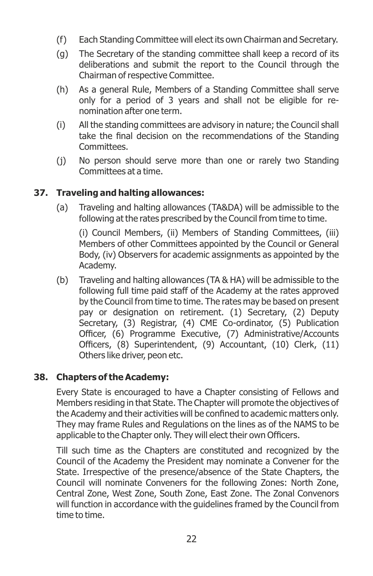- (f) Each Standing Committee will elect its own Chairman and Secretary.
- (g) The Secretary of the standing committee shall keep a record of its deliberations and submit the report to the Council through the Chairman of respective Committee.
- (h) As a general Rule, Members of a Standing Committee shall serve only for a period of 3 years and shall not be eligible for renomination after one term.
- (i) All the standing committees are advisory in nature; the Council shall take the final decision on the recommendations of the Standing Committees.
- (j) No person should serve more than one or rarely two Standing Committees at a time.

#### **37. Traveling and halting allowances:**

(a) Traveling and halting allowances (TA&DA) will be admissible to the following at the rates prescribed by the Council from time to time.

(i) Council Members, (ii) Members of Standing Committees, (iii) Members of other Committees appointed by the Council or General Body, (iv) Observers for academic assignments as appointed by the Academy.

(b) Traveling and halting allowances (TA & HA) will be admissible to the following full time paid staff of the Academy at the rates approved by the Council from time to time. The rates may be based on present pay or designation on retirement. (1) Secretary, (2) Deputy Secretary, (3) Registrar, (4) CME Co-ordinator, (5) Publication Officer, (6) Programme Executive, (7) Administrative/Accounts Officers, (8) Superintendent, (9) Accountant, (10) Clerk, (11) Others like driver, peon etc.

#### **38. Chapters of the Academy:**

Every State is encouraged to have a Chapter consisting of Fellows and Members residing in that State. The Chapter will promote the objectives of the Academy and their activities will be confined to academic matters only. They may frame Rules and Regulations on the lines as of the NAMS to be applicable to the Chapter only. They will elect their own Officers.

Till such time as the Chapters are constituted and recognized by the Council of the Academy the President may nominate a Convener for the State. Irrespective of the presence/absence of the State Chapters, the Council will nominate Conveners for the following Zones: North Zone, Central Zone, West Zone, South Zone, East Zone. The Zonal Convenors will function in accordance with the guidelines framed by the Council from time to time.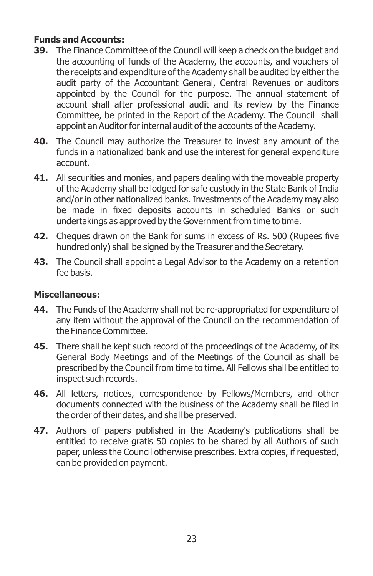#### **Funds and Accounts:**

- **39.** The Finance Committee of the Council will keep a check on the budget and the accounting of funds of the Academy, the accounts, and vouchers of the receipts and expenditure of the Academy shall be audited by either the audit party of the Accountant General, Central Revenues or auditors appointed by the Council for the purpose. The annual statement of account shall after professional audit and its review by the Finance Committee, be printed in the Report of the Academy. The Council shall appoint an Auditor for internal audit of the accounts of the Academy.
- **40.** The Council may authorize the Treasurer to invest any amount of the funds in a nationalized bank and use the interest for general expenditure account.
- **41.** All securities and monies, and papers dealing with the moveable property of the Academy shall be lodged for safe custody in the State Bank of India and/or in other nationalized banks. Investments of the Academy may also be made in fixed deposits accounts in scheduled Banks or such undertakings as approved by the Government from time to time.
- **42.** Cheques drawn on the Bank for sums in excess of Rs. 500 (Rupees five hundred only) shall be signed by the Treasurer and the Secretary.
- **43.** The Council shall appoint a Legal Advisor to the Academy on a retention fee basis.

#### **Miscellaneous:**

- **44.** The Funds of the Academy shall not be re-appropriated for expenditure of any item without the approval of the Council on the recommendation of the Finance Committee.
- **45.** There shall be kept such record of the proceedings of the Academy, of its General Body Meetings and of the Meetings of the Council as shall be prescribed by the Council from time to time. All Fellows shall be entitled to inspect such records.
- **46.** All letters, notices, correspondence by Fellows/Members, and other documents connected with the business of the Academy shall be filed in the order of their dates, and shall be preserved.
- **47.** Authors of papers published in the Academy's publications shall be entitled to receive gratis 50 copies to be shared by all Authors of such paper, unless the Council otherwise prescribes. Extra copies, if requested, can be provided on payment.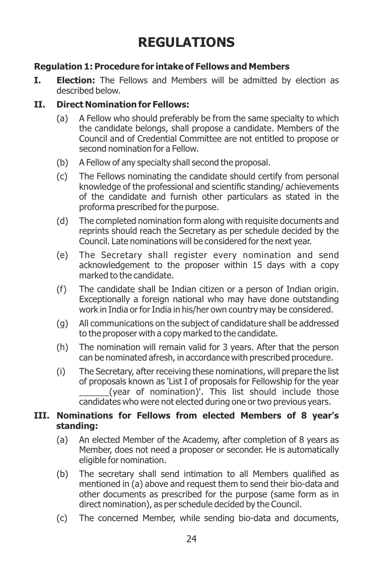## **REGULATIONS**

#### **Regulation 1: Procedure for intake of Fellows and Members**

**I. Election:** The Fellows and Members will be admitted by election as described below.

#### **II. Direct Nomination for Fellows:**

- (a) A Fellow who should preferably be from the same specialty to which the candidate belongs, shall propose a candidate. Members of the Council and of Credential Committee are not entitled to propose or second nomination for a Fellow.
- (b) A Fellow of any specialty shall second the proposal.
- (c) The Fellows nominating the candidate should certify from personal knowledge of the professional and scientific standing/achievements of the candidate and furnish other particulars as stated in the proforma prescribed for the purpose.
- (d) The completed nomination form along with requisite documents and reprints should reach the Secretary as per schedule decided by the Council. Late nominations will be considered for the next year.
- (e) The Secretary shall register every nomination and send acknowledgement to the proposer within 15 days with a copy marked to the candidate.
- (f) The candidate shall be Indian citizen or a person of Indian origin. Exceptionally a foreign national who may have done outstanding work in India or for India in his/her own country may be considered.
- (g) All communications on the subject of candidature shall be addressed to the proposer with a copy marked to the candidate.
- (h) The nomination will remain valid for 3 years. After that the person can be nominated afresh, in accordance with prescribed procedure.
- (i) The Secretary, after receiving these nominations, will prepare the list of proposals known as 'List I of proposals for Fellowship for the year \_\_\_\_\_\_(year of nomination)'. This list should include those candidates who were not elected during one or two previous years.

#### **III. Nominations for Fellows from elected Members of 8 year's standing:**

- (a) An elected Member of the Academy, after completion of 8 years as Member, does not need a proposer or seconder. He is automatically eligible for nomination.
- (b) The secretary shall send intimation to all Members qualified as mentioned in (a) above and request them to send their bio-data and other documents as prescribed for the purpose (same form as in direct nomination), as per schedule decided by the Council.
- (c) The concerned Member, while sending bio-data and documents,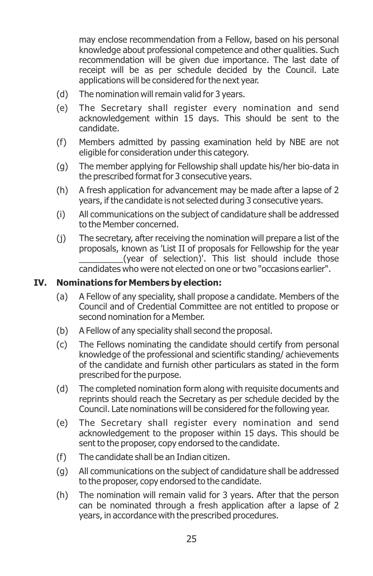may enclose recommendation from a Fellow, based on his personal knowledge about professional competence and other qualities. Such recommendation will be given due importance. The last date of receipt will be as per schedule decided by the Council. Late applications will be considered for the next year.

- (d) The nomination will remain valid for 3 years.
- (e) The Secretary shall register every nomination and send acknowledgement within 15 days. This should be sent to the candidate.
- (f) Members admitted by passing examination held by NBE are not eligible for consideration under this category.
- (g) The member applying for Fellowship shall update his/her bio-data in the prescribed format for 3 consecutive years.
- (h) A fresh application for advancement may be made after a lapse of 2 years, if the candidate is not selected during 3 consecutive years.
- (i) All communications on the subject of candidature shall be addressed to the Member concerned.
- (j) The secretary, after receiving the nomination will prepare a list of the proposals, known as 'List II of proposals for Fellowship for the year (year of selection)'. This list should include those candidates who were not elected on one or two "occasions earlier".

#### **IV. Nominations for Members by election:**

- (a) A Fellow of any speciality, shall propose a candidate. Members of the Council and of Credential Committee are not entitled to propose or second nomination for a Member.
- (b) A Fellow of any speciality shall second the proposal.
- (c) The Fellows nominating the candidate should certify from personal knowledge of the professional and scientific standing/achievements of the candidate and furnish other particulars as stated in the form prescribed for the purpose.
- (d) The completed nomination form along with requisite documents and reprints should reach the Secretary as per schedule decided by the Council. Late nominations will be considered for the following year.
- (e) The Secretary shall register every nomination and send acknowledgement to the proposer within 15 days. This should be sent to the proposer, copy endorsed to the candidate.
- (f) The candidate shall be an Indian citizen.
- (g) All communications on the subject of candidature shall be addressed to the proposer, copy endorsed to the candidate.
- (h) The nomination will remain valid for 3 years. After that the person can be nominated through a fresh application after a lapse of 2 years, in accordance with the prescribed procedures.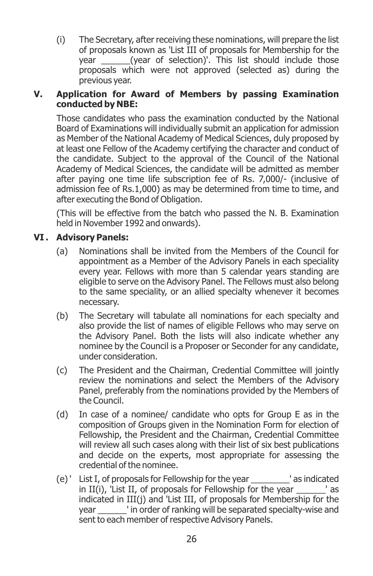(i) The Secretary, after receiving these nominations, will prepare the list of proposals known as 'List III of proposals for Membership for the year  $(year of selection)'$ . This list should include those proposals which were not approved (selected as) during the previous year.

#### **V. Application for Award of Members by passing Examination conducted by NBE:**

Those candidates who pass the examination conducted by the National Board of Examinations will individually submit an application for admission as Member of the National Academy of Medical Sciences, duly proposed by at least one Fellow of the Academy certifying the character and conduct of the candidate. Subject to the approval of the Council of the National Academy of Medical Sciences, the candidate will be admitted as member after paying one time life subscription fee of Rs. 7,000/- (inclusive of admission fee of Rs.1,000) as may be determined from time to time, and after executing the Bond of Obligation.

(This will be effective from the batch who passed the N. B. Examination held in November 1992 and onwards).

#### **VI . Advisory Panels:**

- (a) Nominations shall be invited from the Members of the Council for appointment as a Member of the Advisory Panels in each speciality every year. Fellows with more than 5 calendar years standing are eligible to serve on the Advisory Panel. The Fellows must also belong to the same speciality, or an allied specialty whenever it becomes necessary.
- (b) The Secretary will tabulate all nominations for each specialty and also provide the list of names of eligible Fellows who may serve on the Advisory Panel. Both the lists will also indicate whether any nominee by the Council is a Proposer or Seconder for any candidate, under consideration.
- (c) The President and the Chairman, Credential Committee will jointly review the nominations and select the Members of the Advisory Panel, preferably from the nominations provided by the Members of the Council.
- (d) In case of a nominee/ candidate who opts for Group E as in the composition of Groups given in the Nomination Form for election of Fellowship, the President and the Chairman, Credential Committee will review all such cases along with their list of six best publications and decide on the experts, most appropriate for assessing the credential of the nominee.
- (e) ' List I, of proposals for Fellowship for the year \_\_\_\_\_\_\_\_' as indicated in II(i), 'List II, of proposals for Fellowship for the year \_\_\_\_\_\_' as indicated in III(j) and 'List III, of proposals for Membership for the year both in order of ranking will be separated specialty-wise and sent to each member of respective Advisory Panels.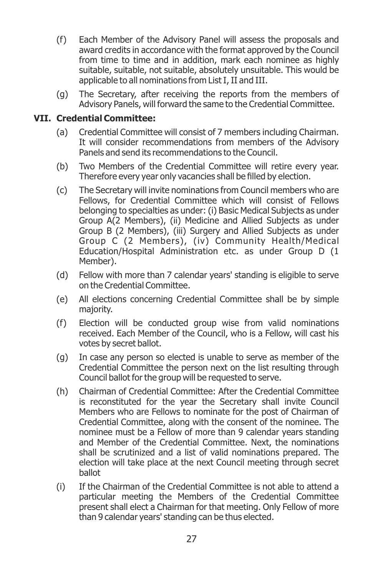- (f) Each Member of the Advisory Panel will assess the proposals and award credits in accordance with the format approved by the Council from time to time and in addition, mark each nominee as highly suitable, suitable, not suitable, absolutely unsuitable. This would be applicable to all nominations from List I, II and III.
- (g) The Secretary, after receiving the reports from the members of Advisory Panels, will forward the same to the Credential Committee.

#### **VII. Credential Committee:**

- (a) Credential Committee will consist of 7 members including Chairman. It will consider recommendations from members of the Advisory Panels and send its recommendations to the Council.
- (b) Two Members of the Credential Committee will retire every year. Therefore every year only vacancies shall be filled by election.
- (c) The Secretary will invite nominations from Council members who are Fellows, for Credential Committee which will consist of Fellows belonging to specialties as under: (i) Basic Medical Subjects as under Group A(2 Members), (ii) Medicine and Allied Subjects as under Group B (2 Members), (iii) Surgery and Allied Subjects as under Group C (2 Members), (iv) Community Health/Medical Education/Hospital Administration etc. as under Group D (1 Member).
- (d) Fellow with more than 7 calendar years' standing is eligible to serve on the Credential Committee.
- (e) All elections concerning Credential Committee shall be by simple majority.
- (f) Election will be conducted group wise from valid nominations received. Each Member of the Council, who is a Fellow, will cast his votes by secret ballot.
- (g) In case any person so elected is unable to serve as member of the Credential Committee the person next on the list resulting through Council ballot for the group will be requested to serve.
- (h) Chairman of Credential Committee: After the Credential Committee is reconstituted for the year the Secretary shall invite Council Members who are Fellows to nominate for the post of Chairman of Credential Committee, along with the consent of the nominee. The nominee must be a Fellow of more than 9 calendar years standing and Member of the Credential Committee. Next, the nominations shall be scrutinized and a list of valid nominations prepared. The election will take place at the next Council meeting through secret ballot
- (i) If the Chairman of the Credential Committee is not able to attend a particular meeting the Members of the Credential Committee present shall elect a Chairman for that meeting. Only Fellow of more than 9 calendar years' standing can be thus elected.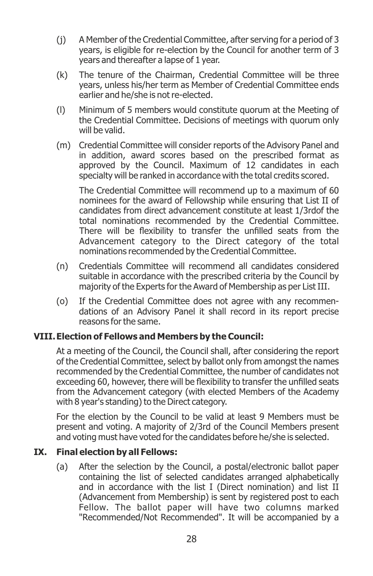- (j) A Member of the Credential Committee, after serving for a period of 3 years, is eligible for re-election by the Council for another term of 3 years and thereafter a lapse of 1 year.
- (k) The tenure of the Chairman, Credential Committee will be three years, unless his/her term as Member of Credential Committee ends earlier and he/she is not re-elected.
- (l) Minimum of 5 members would constitute quorum at the Meeting of the Credential Committee. Decisions of meetings with quorum only will be valid.
- (m) Credential Committee will consider reports of the Advisory Panel and in addition, award scores based on the prescribed format as approved by the Council. Maximum of 12 candidates in each specialty will be ranked in accordance with the total credits scored.

The Credential Committee will recommend up to a maximum of 60 nominees for the award of Fellowship while ensuring that List II of candidates from direct advancement constitute at least 1/3rdof the total nominations recommended by the Credential Committee. There will be flexibility to transfer the unfilled seats from the Advancement category to the Direct category of the total nominations recommended by the Credential Committee.

- (n) Credentials Committee will recommend all candidates considered suitable in accordance with the prescribed criteria by the Council by majority of the Experts for the Award of Membership as per List III.
- (o) If the Credential Committee does not agree with any recommendations of an Advisory Panel it shall record in its report precise reasons for the same.

#### **VIII. Election of Fellows and Members by the Council:**

At a meeting of the Council, the Council shall, after considering the report of the Credential Committee, select by ballot only from amongst the names recommended by the Credential Committee, the number of candidates not exceeding 60, however, there will be flexibility to transfer the unfilled seats from the Advancement category (with elected Members of the Academy with 8 year's standing) to the Direct category.

For the election by the Council to be valid at least 9 Members must be present and voting. A majority of 2/3rd of the Council Members present and voting must have voted for the candidates before he/she is selected.

#### **IX. Final election by all Fellows:**

(a) After the selection by the Council, a postal/electronic ballot paper containing the list of selected candidates arranged alphabetically and in accordance with the list I (Direct nomination) and list II (Advancement from Membership) is sent by registered post to each Fellow. The ballot paper will have two columns marked "Recommended/Not Recommended". It will be accompanied by a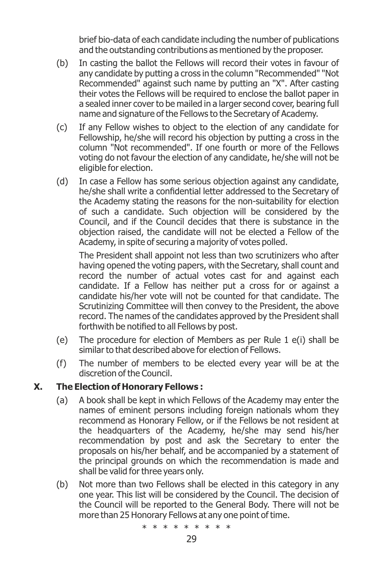brief bio-data of each candidate including the number of publications and the outstanding contributions as mentioned by the proposer.

- (b) In casting the ballot the Fellows will record their votes in favour of any candidate by putting a cross in the column "Recommended" "Not Recommended" against such name by putting an "X". After casting their votes the Fellows will be required to enclose the ballot paper in a sealed inner cover to be mailed in a larger second cover, bearing full name and signature of the Fellows to the Secretary of Academy.
- (c) If any Fellow wishes to object to the election of any candidate for Fellowship, he/she will record his objection by putting a cross in the column "Not recommended". If one fourth or more of the Fellows voting do not favour the election of any candidate, he/she will not be eligible for election.
- (d) In case a Fellow has some serious objection against any candidate, he/she shall write a confidential letter addressed to the Secretary of the Academy stating the reasons for the non-suitability for election of such a candidate. Such objection will be considered by the Council, and if the Council decides that there is substance in the objection raised, the candidate will not be elected a Fellow of the Academy, in spite of securing a majority of votes polled.

The President shall appoint not less than two scrutinizers who after having opened the voting papers, with the Secretary, shall count and record the number of actual votes cast for and against each candidate. If a Fellow has neither put a cross for or against a candidate his/her vote will not be counted for that candidate. The Scrutinizing Committee will then convey to the President, the above record. The names of the candidates approved by the President shall forthwith be notified to all Fellows by post.

- (e) The procedure for election of Members as per Rule 1 e(i) shall be similar to that described above for election of Fellows.
- (f) The number of members to be elected every year will be at the discretion of the Council.

#### **X. The Election of Honorary Fellows :**

- (a) A book shall be kept in which Fellows of the Academy may enter the names of eminent persons including foreign nationals whom they recommend as Honorary Fellow, or if the Fellows be not resident at the headquarters of the Academy, he/she may send his/her recommendation by post and ask the Secretary to enter the proposals on his/her behalf, and be accompanied by a statement of the principal grounds on which the recommendation is made and shall be valid for three years only.
- (b) Not more than two Fellows shall be elected in this category in any one year. This list will be considered by the Council. The decision of the Council will be reported to the General Body. There will not be more than 25 Honorary Fellows at any one point of time.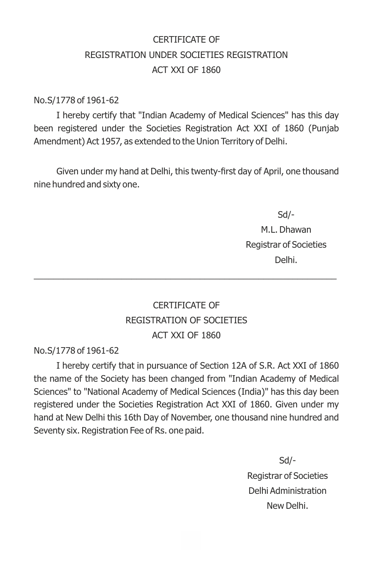### CERTIFICATE OF REGISTRATION UNDER SOCIETIES REGISTRATION ACT XXI OF 1860

No.S/1778 of 1961-62

I hereby certify that "Indian Academy of Medical Sciences" has this day been registered under the Societies Registration Act XXI of 1860 (Punjab Amendment) Act 1957, as extended to the Union Territory of Delhi.

Given under my hand at Delhi, this twenty-first day of April, one thousand nine hundred and sixty one.

> Sd/- M.L. Dhawan Registrar of Societies Delhi.

### CERTIFICATE OF REGISTRATION OF SOCIETIES ACT XXI OF 1860

\_\_\_\_\_\_\_\_\_\_\_\_\_\_\_\_\_\_\_\_\_\_\_\_\_\_\_\_\_\_\_\_\_\_\_\_\_\_\_\_\_\_\_\_\_\_\_\_\_\_\_\_\_\_\_\_\_\_\_\_\_\_

No.S/1778 of 1961-62

I hereby certify that in pursuance of Section 12A of S.R. Act XXI of 1860 the name of the Society has been changed from "Indian Academy of Medical Sciences" to "National Academy of Medical Sciences (India)" has this day been registered under the Societies Registration Act XXI of 1860. Given under my hand at New Delhi this 16th Day of November, one thousand nine hundred and Seventy six. Registration Fee of Rs. one paid.

> Sd/- Registrar of Societies Delhi Administration New Delhi.